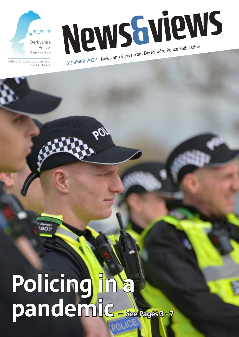

Police Officers Representing Police Officers

News Guie Police Federation SUMMER 2020 News and views from Derbyshire Police Federation

# Policing in a **pandemic – See Pages 3 - 7**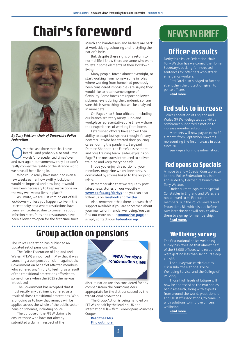## **Chair's foreword**



*By Tony Wetton, chair of Derbyshire Police Federation*

Over the last three months, I have<br>
words 'unprecedented times' over<br>
and over again but somehow they just don't heard – and probably also said – the words 'unprecedented times' over really convey the reality of the strange world we have all been living in.

Who could really have imagined even a few weeks earlier how swiftly lockdown would be imposed and how long it would have been necessary to keep restrictions on the way we live our lives in place?

As I write, we are just coming out of full lockdown – unless you happen to live in the Leicester city area where restrictions have been re-introduced due to concerns about infection rates. Pubs and restaurants have been allowed to open for the first time since March and hairdressers and barbers are back at work tidying, colouring and re-styling the nation's locks.

But, despite these signs of a return to normal life, I know there are some who want to retain some elements of their lockdown living.

Many people, forced almost overnight, to start working from home – some in roles where working from home had previously been considered impossible - are saying they would like to retain some degree of flexibility. Some forces are reporting lower sickness levels during the pandemic so I am sure this is something that will be analysed in more detail.

On Pages 4 to 6, four officers – including our branch secretary Kirsty Bunn and workplace representative Julie Shaw – share their experiences of working from home.

Established officers have shown their ability to adapt but spare a thought for any new recruit who has started their policing career during the pandemic. Sergeant Damien Shannon, the Force's assessment and core training team leader, explains on Page 7 the measures introduced to deliver training and keep everyone safe.

I hope you enjoy this edition of your members' magazine which, inevitably, is dominated by stories linked to the ongoing crisis.

Remember also that we regularly post latest news stories on our website – **www.polfed.org/derbys** and you can also follow us on **Facebook** and **Twitter.**

Also, remember that there is a wealth of support available if you are concerned about your mental or financial wellbeing. You can find out more on our **coronavirus page** or simply contact your **Federation rep**.

### **Group action on pensions**

The Police Federation has published an updated set of pensions FAQs.

The Police Federation of England and Wales (PFEW) announced in May that it was launching a compensation claim against the Government on behalf of affected members who suffered any 'injury to feeling' as a result of the transitional protections afforded to some officers when the 2015 scheme was introduced.

The Government has accepted that it must rectify any detriment suffered as a result of those transitional protections. Work is ongoing as to how that remedy will be applied across the whole of the public sector pension schemes, including police.

The purpose of the PFEW claim is to ensure those who have not already submitted a claim in respect of the



discrimination are also considered for any compensation the court considers appropriate for the distress caused by the transitional protections.

The Group Action is being handled on PFEW's behalf by the leading UK and international law firm Penningtons Manches Cooper.

**Read the FAQs. Find out more.**

### NEWS IN BRIEF

### **Officer assaults**

Derbyshire Police Federation chair Tony Wetton has welcomed the Home Secretary's backing for increased sentences for offenders who attack emergency workers.

Priti Patel also pledged to further strengthen the protection given to police officers.

**Read more.**

### **Fed subs to increase**

 Police Federation of England and Wales (PFEW) delegates at a virtual conference supported a motion to increase member subscriptions.

Members will now pay an extra £2 a month from September onwards representing the first increase in subs since 2011.

See Page 9 for more information.

### **Fed opens to Specials**

A move to allow Special Constables to join the Police Federation has been applauded by Derbyshire branch chair Tony Wetton.

Under current legislation Special Constables in England and Wales are not allowed to be Federation members. But the Police Powers and Protections Bill which is due before MPs later this year will seek to allow them to sign up for membership.

**Read more.**

### **Wellbeing survey**

The first national police wellbeing survey has revealed that almost half of the 35,000 officers who responded were getting less than six hours sleep a night.

The survey was carried out by Oscar Kilo, the National Police Wellbeing Service, and the College of Policing.

Those high levels of fatigue will now be addressed as the two bodies begin research, along with experts from around the world, practitioners and UK staff associations, to come up with solutions to improve officers' wellbeing.

**Read more.**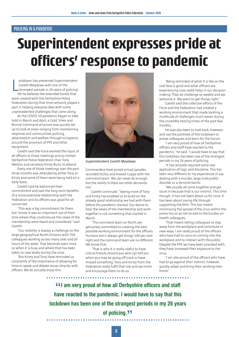## **Superintendent expresses pride at officers' response to pandemic**

L ockdown has presented Superintendent Gareth Meadows with one of the 'strangest periods in 26 years of policing'. Yet he believes the extended bonds that were created with the Derbyshire Police Federation during that time certainly played a part in helping everyone deal with some unprecedented challenges that came along.

As the COVID-19 pandemic began to take hold in March and April, a Gold, Silver and Bronze Command structure was quickly set up to look at areas ranging from maintaining response and communities policing, absenteeism and welfare through to logistics around the provision of PPE and other equipment.

Gareth said the Force wanted the input of all officers in those meetings and so invited Derbyshire Police Federation chair Tony Wetton and secretary Kirsty Bunn to attend.

Every one of those meetings over the past three months was attended by either Tony or Kirsty and some of them were being held on a daily basis.

Gareth said he welcomed their commitment and said the long-term benefits of a more extensive relationship with the Federation and its officers was good for all concerned.

"This was a big commitment for them, but I know it was an important use of their time where they could ensure the views of the membership were heard and considered," said Gareth.

"Our visibility is always a challenge on the large geographical North Division with 700 colleagues working across many sites and all hours of the week. That becomes even more so when it is busy and where that has been taken to new levels during the crisis.

"But Kirsty and Tony have reminded us constantly of the importance of allowing for time to speak and debate issues directly with officers. We do actually enjoy this.



*Superintendent Gareth Meadows.*

Commanders have joined virtual parades, recorded VLOGs and hosted 'cuppa with the command team'. We can never do enough, but the reality is there are other demands too<sup>"</sup>

Gareth continued: "Seeing more of Tony and Kirsty has enabled us to build on the already good relationship we had with them before the pandemic started. Our desire to hear the views of the membership and work together is not something that started in March.

"The command team on North are genuinely committed to creating the best possible working environment for the officers. Humans don't always get things 100 per cent right and the command team are no different. We know that.

"That is why it is really useful to have critical friends around you who can tell you when you may be going off track or have missed something. Tony and Kirsty from the Federation really fulfil that role and we invite and encourage them to do so.

"Being reminded of what it is like on the coal face is good and what officers are experiencing now really helps in our decisionmaking. They do challenge us weekly and we welcome it. We want to get things right."

Gareth said the collective efforts of the Force and the Federation had created a working environment that made tackling a multitude of challenges much easier during the incredibly testing times of the past few months.

He was also keen to look back, however, and use the positives of the lockdown to praise colleagues and learn for the future.

"I am very proud of how all Derbyshire officers and staff have reacted to the pandemic," he said. "I would have to say that this lockdown has been one of the strangest periods in my 26 years of policing.

"It has actually required some real application of logic and discipline. This has been very different to my experiences in say dealing with a murder, large scale public disorder or a terrorist bomb.

"We usually all come together and get stuck in because that is our instinct. This time though, it has not been about us for once. It has been about saving life through supporting the NHS. This has meant minimising the spread of the virus within the police too so as not to add to the burden on health colleagues.

"That meant telling colleagues to stay away from the workplace and contribute in new ways. I am really proud of the officers who have had to carry on coming into the workplace and to interact with the public. Despite the PPE we have been provided with, they have increased their exposure to the virus.

"I am also proud of the officers who have had to go against their instinct, however, quickly adapt and bring their working lives home."

**"I am very proud of how all Derbyshire officers and staff have reacted to the pandemic. I would have to say that this lockdown has been one of the strangest periods in my 26 years of policing.**<sup>11</sup>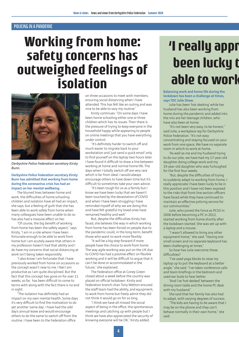## **Working from home: safety concerns has outweighed feelings of isolation**



*Derbyshire Police Federation secretary Kirsty Bunn.*

#### **Derbyshire Police Federation secretary Kirsty Bunn has admitted that working from home during the coronavirus crisis has had an impact on her mental wellbeing.**

The blurred lines between home and work, the difficulties of home schooling children and isolation have all had an impact, she says, but a feeling of guilt that she has been able to work safely from home when many colleagues have been unable to do so has also had a massive effect on her.

"Of course, the big benefit of working from home has been the safety aspect," says Kirsty, "I am in a role where I have been fortunate enough to be able to work from home but I am acutely aware that others in my profession haven't had that ability and I do have my concerns that social distancing at work isn't being taken responsibly.

"I also know I am fortunate that I have previously worked from home on occasions so the concept wasn't new to me. I feel I am productive as I am quite disciplined. But the fact that this concept has gone on for over 11 weeks, so far, has been difficult to come to terms with along with the fact there is no end in sight.

"The isolation has definitely had an impact on my own mental health. Some days it's very difficult to find the motivation to do yet another 'same day'. I have had the odd day's annual leave and would encourage others to do the same to switch off from the routine. I have been to the Federation office

on three occasions to meet with members, ensuring social distancing when I have attended. This has felt like an outing and was nice to be able to vary my routine."

Kirsty continues: "On some days I have been home schooling either one or three children which has its issues. Then there is the pressure of trying to keep everyone in the household happy while appearing to people on online meetings that you have everything under control.

"It's definitely harder to switch off and much easier to migrate back to your workstation and 'just send a quick email' only to find yourself on the laptop two hours later. I have found it difficult to draw a line between working at home and normal home life. The days when I totally switch off are very rare which is far from ideal. I would always encourage others to have down time but it's difficult to sometimes take your own advice.

"It's been tough for us as a family but I know we have been lucky that we haven't been touched by the devastation of COVID and when I have been struggling I have reminded myself of why we are doing this and have felt grateful my loved ones have remained healthy and well."

But, despite the difficulties Kirsty has faced, she believes the way in which working from home has been forced on people due to the pandemic could, in the long-term, benefit those who want to work more flexibly.

"It will be a big step forward if more people have the choice to work from home. The way agile working was put on the UK due to COVID has had a positive effect on flexible working and it will be difficult to argue that it can't be done or accommodated in the future," she explained.

The Federation office at Coney Green closed about a week before the country was placed on official lockdown. Kirsty and Federation branch chair Tony Wetton ensured the staff team had the ability, and equipment, to work from home but freely admit they did not think it would go on for so long.

"I think we have all missed the social aspect of being in the office; the spontaneous meetings and catching up with people but I think we have also appreciated the security of knowing everyone will be OK," Kirsty added.

## **'I really appr been lucky t able to work from home'**

#### **Balancing work and home life during the lockdown has been a challenge at times, says TDC Julie Shaw.**

Julie has been 'hot-desking' while her husband has also been working from home during the pandemic and added into the mix are her teenage children, who have also been at home.

"It's not been very easy, to be honest," said Julie, a workplace rep for Derbyshire Police Federation. "It's not easy concentrating and staying focused on your work from one space. We have no separate room in which to work at home.

"As well as me and my husband trying to do our jobs, we have had my 17-year-old daughter doing college work and my 19-year-old daughter who was furloughed for the first four weeks.

"But, despite the difficulties of trying to suddenly adapt to working from home, I really appreciate I have been lucky to be in this position and I have not been exposed to the risks that front-line section officers have faced while they have continued to maintain an effective policing service for our communities."

Julie, who joined the Force as PCSO in 2006 before becoming a PC in 2012, started working from home shortly after the lockdown started. She was set up with a laptop and a mouse.

"I wasn't allowed to bring any other equipment home," she said. "Having one small screen and no separate keyboard has been challenging at times."

So how has Julie overcome these difficulties?

"I've used yoga blocks to raise my laptop up to put the keyboard at a better angle," she said. "I've taken conference calls and team briefings in the bedroom and used ear buds to hear better.

"And I've 'hot-desked' between the dining room table and the home PC desk with my husband."

She said that her family has also had to adapt, with varying degrees of success.

"The kids are having to be aware that I may be on the phone and they can't behave normally in their own home," she said.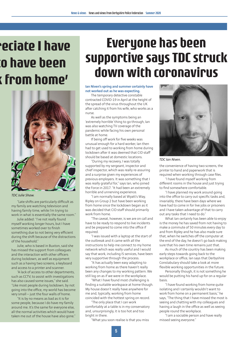## **'eciate I have been been k** from home'



#### *TDC Julie Shaw.*

"Late shifts are particularly difficult as my family are watching television and having family time, while I'm trying to work in what is essentially the same room."

Julie added: "I've not really found myself working longer hours, but I have sometimes worked over to finish something due to not being very efficient during the shift because of the distractions of the household."

Julie, who is based in Buxton, said she has missed the support from colleagues and the interaction with other officers during lockdown, as well as equipment such as a having two screens, a keyboard and access to a printer and scanner.

"A lack of access to other departments, such as CCTV, to assist with investigations has also caused some issues," she said. "Like most people during lockdown, by not going into the office, my world has become very small – just the four walls of home.

"It is by no means as bad as it is for some people, because I do have my family around me. It's the same for everyone else, all the normal activities which would have taken me out of the house have also gone."

## **Everyone has been supportive says TDC struck down with coronavirus**

#### **Ian Niven's spring and summer certainly have not worked out as he was expecting.**

The temporary detective constable contracted COVID-19 in April at the height of the spread of the virus throughout the UK after catching it from his wife, who works as a nurse.

As well as the symptoms being an 'extremely horrible' thing to go through, Ian was also watching TV coverage of the pandemic while facing his own personal battle at home.

If being off work for five weeks was unusual enough for a hard worker, Ian then had to get used to working from home during lockdown after it was deemed that CID staff should be based at domestic locations.

"During my recovery, I was totally supported by my sergeant, inspector and chief inspector, which was really re-assuring and a surprise given my experiences of previous employers. It was something that I was really grateful for," says Ian, who joined the Force in 2017. "It had been an extremely horrible and unnerving experience.

"I am normally based at Wyatt's Way, Ripley on Group 2 but have been working from home since the lockdown began as it was decided that CID staff should primarily work from home.

"The caveat, however, is we are on call and have to be ready to respond to live incidents and be prepared to come into the office if required.

"I was issued with a laptop at the start of the outbreak and it came with all the instructions to help me connect to my home network which was really useful and I would say that work, including IS services, have been very supportive through the process.

"It has actually been easy adapting to working from home as there haven't really been any changes to my working pattern. We still log on as if we were in the workplace.

"What I have found most challenging is finding a suitable workspace at home though. My house doesn't really have anywhere for me and, typically, working from home coincided with the hottest spring on record.

"The only place that I can work comfortably at a table is in my conservatory and, unsurprisingly, it is too hot and too bright in there.

"What you soon realise is that you miss



*TDC Ian Niven.*

the convenience of having two screens, the printer to hand and paperwork that is required when working through case files.

"I have found myself working from different rooms in the house and just trying to find somewhere comfortable.

"I have planned my work around going into the office to carry out specific tasks and, invariably, there have been days where we have had to come in for live jobs or prisoners and I have taken advantage of that to carry out any tasks that I need to do."

What Ian certainly has been able to enjoy is the money he has saved from not having to make a commute of 50 minutes every day to and from Ripley and he has also made sure that, when he switches off the computer at the end of the day, he doesn't go back making sure that his own time remains just that.

As much of the country has been making early steps towards going back to the workplace or office, Ian says that Derbyshire Constabulary should take a look at more flexible working opportunities in the future.

Personally though, it is not something he would be putting his hand up for on a regular basis.

"I have found working from home quite isolating and I certainly wouldn't want to work from home on a permanent basis," he says, "The thing that I have missed the most is seeing and chatting with my colleagues and having a laugh in the office as well as seeing people round the workplace.

"I am a sociable person and have really missed seeing everyone."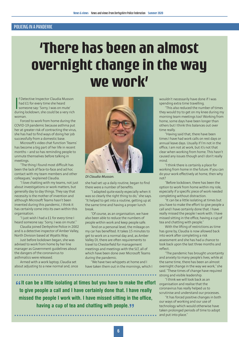## **'There has been an almost overnight change in the way we work'**

If Detective Inspector Claudia Musson<br>had £1 for every time she heard<br>someone say: 'Sorry, I was on mute'<br>during lockdown, she could be a very rich f Detective Inspector Claudia Musson had £1 for every time she heard someone say: 'Sorry, I was on mute' woman.

Forced to work from home during the COVID-19 pandemic because asthma put her at greater risk of contracting the virus, she has had to find ways of doing her job successfully from a domestic base.

Microsoft's video chat function 'Teams' has become a big part of her life in recent months – and so has reminding people to unmute themselves before talking in meetings.

"The thing I found most difficult has been the lack of face-to-face and ad hoc contact with my team members and other colleagues," explained Claudia.

"I love chatting with my teams, not just about investigations or work matters, but generally day to day things. They say that necessity is the mother of invention and although Microsoft Teams hasn't been invented during this pandemic, I think it has certainly come into its own within this organisation.

"I just wish I had a £1 for every time I heard someone say: 'Sorry, I was on mute'."

Claudia joined Derbyshire Police in 2002 and is a detective inspector of Amber Valley, North Division based at Wyatts Way.

Just before lockdown began, she was advised to work from home by her line manager as Government guidelines about the dangers of the coronavirus to asthmatics were released.

Armed with a work laptop, Claudia set about adjusting to a new normal and, once



*DI Claudia Musson.*

she had set up a daily routine, began to find there were a number of benefits.

"I adapted quite easily especially when it was so clearly the right thing to do," she says. "It helped to get into a routine, getting up at the same time and having a proper lunch break.

"Of course, as an organisation, we have also been able to reduce the numbers of people within work and keep people safe.

"And on a personal level, the mileage on my car has benefited. It takes 15 minutes to get to work on a normal day and, as Amber Valley DI, there are often requirements to travel to Chesterfield for management meetings and meetings with the SLT, all of which have been done over Microsoft Teams during the pandemic.

"We have two whippets at home and I have taken them out in the mornings, which I

**Example 2 It can be a little isolating at times but you have to make the effort is do give people a call and I have certainly done that. I have really to give people a call and I have certainly done that. I have really missed the people I work with. I have missed sitting in the office, having a cup of tea and chatting with people.** 

wouldn't necessarily have done if I was spending extra time travelling.

"This also reduced the number of times they would try to get on my knee during my morning team meetings too! Working from home, some days have been longer than others but I think this balances out over time really.

"Having said that, there have been times I have had work calls on rest days or annual leave days. Usually if I'm not in the office, I am not at work, but it's not that clear when working from home. This hasn't caused any issues though and I don't really mind.

"I think there is certainly a place for working from home in the future. If you can do your work effectively at home, then why not?

"Before lockdown, there has been the option to work from home within my role, especially if a specific piece of work needed completing without distraction.

"It can be a little isolating at times but you have to make the effort to give people a call and I have certainly done that. I have really missed the people I work with. I have missed sitting in the office, having a cup of tea and chatting with people."

With the lifting of restrictions as time has gone by, Claudia is now allowed back into work after completing a risk assessment and she has had a chance to look back upon the last three months and reflect.

"The pandemic has brought uncertainty and anxiety to many people's lives, while at the same time, there has been an almost overnight change in the way we work," she said. "These times of change have required strong and visible leadership.

"I think we will look back as an organisation and realise that the coronavirus has really helped us to scrutinise and understand our processes.

"It has forced positive changes in both our ways of working and our use of technology which would otherwise have taken prolonged periods of time to adopt and put into place."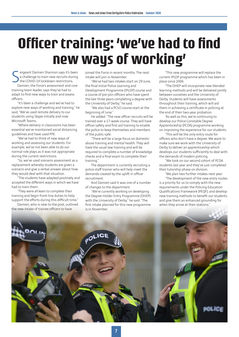## **Officer training: 'we've had to find new ways of working'**

S ergeant Damien Shannon says it's been a challenge to train new recruits during the COVID-19 lockdown restrictions.

Damien, the Force's assessment and core training team leader, says they've had to adapt to find new ways to train and assess officers.

"It's been a challenge and we've had to explore new ways of working and training," he said, "We've used remote delivery to our students using Skype initially and now Microsoft Teams.

"Where delivery in classrooms has been essential we've maintained social distancing guidelines and have used PPE.

"We've had to think of new ways of working and assessing our students. For example, we've not been able to do our normal role plays as it was not appropriate during the current restrictions.

"So, we've used scenario assessment as a replacement whereby students are given a scenario and give a verbal answer about how they would deal with that situation.

"The students have adapted positively and accepted the different ways in which we have had to train them.

"They were all keen to complete their training and begin front-line duties to help support the efforts during this difficult time."

Damien, who is new to the post, outlined the new intake of trainee officers to have

joined the Force in recent months. The next intake will join in November.

"We've had two intakes start on 29 June, the final Initial Police Learning and Development Programme (IPLDP) course and a course of pre-join officers who have spent the last three years completing a degree with the University of Derby," he said.

"We also had a PCSO course start at the beginning of June."

He added: "The new officer recruits will be trained over a 17-week course. They will have officer safety and first aid training to enable the police to keep themselves and members of the public safe.

"There will be a large focus on domestic abuse training and mental health. They will have the usual law training and will be required to complete a number of knowledge checks and a final exam to complete their training."

The department is currently recruiting a police staff trainer who will help meet the demands created by the uplift in officer recruitment.

And Damien said it was one of a number of changes to the department.

"We're currently working on developing the Degree-Holder Entry Programme (DHEP) with the University of Derby," he said. "The first intake planned for this new programme is in November.

"This new programme will replace the current IPLDP programme which has been in place since 2006.

"The DHEP will incorporate new blended learning methods and will be delivered jointly between ourselves and the University of Derby. Students will have assessments throughout their training, which will aid them in achieving a certificate in policing at the end of their two-year probation.

"As well as this, we're continuing to develop our Police Constable Degree Apprenticeship (PCDA) programme working on improving the experience for our students.

"This will be the only entry route for officers who don't have a degree. We want to make sure we work with the University of Derby to deliver an apprenticeship which develops our students sufficiently to deal with the demands of modern policing.

"We took on our second cohort of PCDA students last year and they've just completed their tutorship phase on division.

"We plan two further intakes next year.

"The development of the new entry routes is a priority for us to comply with the new requirements under the Policing Education Qualifications Framework (PEQF), and develop new training methods to benefit our students and give them an enhanced grounding for when they arrive at their stations."

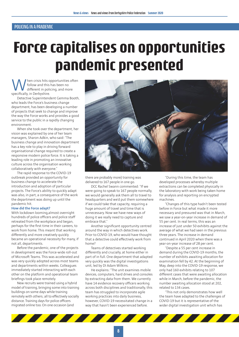## **Force capitalises on opportunities pandemic presented**

When crisis hits opportunities often<br>
different in policing, and more<br>
specifically in Derbyshire follow and this has been no different in policing, and more specifically, in Derbyshire.

Detective Superintendent Gemma Booth, who leads the Force's business change department, has been developing a number of projects that seek to change and improve the way the Force works and provides a good service to the public in a rapidly changing environment.

When she took over the department, her vision was explained by one of her team managers, Sharon Adkin, who said: "The business change and innovation department has a key role to play in driving forward organisational change required to create a responsive modern police force. It is taking a leading role in promoting an innovative culture across the organisation working collaboratively with everyone."

The rapid response to the COVID-19 outbreak provided an opportunity for business change to accelerate the introduction and adoption of particular projects. The Force's ability to quickly adapt was also, in part, a consequence of the work the department was doing up until the pandemic hit.

#### **How did the Force adapt?**

With lockdown looming,almost overnight hundreds of police officers and police staff retreated from the workplace and began, perhaps for the first time in their careers, to work from home. This meant that working differently and more creatively quickly became an operational necessity for many, if not all, departments.

Before the pandemic, one of the projects in development was the Force-wide roll-out of Microsoft Teams. This was accelerated and was very quickly adopted across most teams and departments within weeks. Colleagues immediately started interacting with each other on the platform and operational team briefings took place remotely.

New recruits were trained using a hybrid model of training, bringing some into training buildings on some days while training remotely with others; all to effectively socially distance. Training days for police officers migrated online too. On one occasion (and



there are probably more) training was delivered to 167 people in one go.

DCC Rachel Swann commented: "If we were going to speak to 167 people normally, we would generally ask them all to travel to headquarters and we'd put them somewhere if we could take that capacity, requiring a huge amount of travel and time that is unnecessary. Now we have new ways of doing it we really need to capture and embrace that."

Another significant opportunity centred around the way in which detectives work. Prior to COVID-19, who would have thought that a detective could effectively work from home?

Teams of detectives started working differently and crucially, at home either in part of in full. One department that adapted very quickly was the digital investigations unit, led by DI Adam Wilkins.

He explains: "The unit examines mobile devices, computers, hard drives and consoles by extracting data from them. We currently have 14 evidence recovery officers working across both disciplines and traditionally, this team has struggled to incorporate agile working practices into daily business, however, COVID-19 necessitated change in a way that hasn't been experienced before.

"During this time, the team has developed processes whereby multiple extractions can be completed physically in the laboratory with work being taken home for analysis and reporting on encrypted machines.

"Changes of this type hadn't been tested before in Force but what made it more necessary and pressured was that in March, we saw a year-on-year increase in demand of 55 per cent. In real terms, this was an increase of just under 50 exhibits against the average of what we had seen in the previous three years. The increase in demand continued in April 2020 when there was a year-on-year increase of 28 per cent.

"Despite a 55 per cent increase in demand during the COVID-19 months, the number of exhibits awaiting allocation for examination fell by 42. At the beginning of May, deep into the COVID-19 response, we only had 160 exhibits relating to 107 different cases that were awaiting allocation while in March, before the pandemic, the number awaiting allocation stood at 202, related to 134 cases.

"This not only demonstrates how well the team have adapted to the challenges of COVID-19 but it is representative of the wider digital investigation unit which has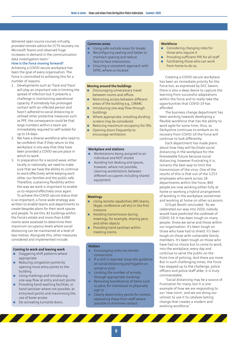delivered open source courses virtually, provided remote advice for CCTV recovery via Microsoft Teams and observed huge increases in demand in the communication data investigation team.

#### **How is the Force moving forward?**

Achieving a COVID-secure workplace has been the goal of every organisation. The Force is committed to achieving this for a number of reasons.

- 1. Developments such as 'Track and Trace' will play an important role in limiting the spread of infection but it presents a challenge in maintaining operational capacity. If somebody has prolonged contact with an infected person and hasn't adhered to social distancing or utilised other protective measures such as PPE, the consequence could be that large numbers within a team are immediately required to self-isolate for up to 14 days.
- 2. We have a diverse workforce who need to be confident that if they return to the workplace in any way that they have been provided a COVID-secure place in which to work.
- 3. In preparation for a second wave, either locally or nationally, we need to make sure that we have the ability to continue to work effectively while keeping each other, our families and the public safe. Therefore, sustaining flexibility within the way we work is important to enable us to respond effectively once again. To achieve the COVID-secure status that

is so important, a Force-wide strategy was written to enable teams and departments to create bespoke plans for their work spaces and people. To aid this, 81 buildings within the Force's estate and more than 4,000 rooms were assessed to determine their maximum occupancy levels where social distancing can be maintained at a level of two metres. Alongside this, other measures considered and implemented include:

#### **Coming to work and leaving work**

- Staggering shift patterns where appropriate
- Reducing congestion points by opening more entry points to the building
- Using markings and introducing one-way flow at entry and exit points
- Providing hand washing facilities, or hand sanitiser where not possible, at entry/exit points and maximising the use of borer access
- De-activating turnstile doors.

#### **Common areas**

- l Using safe outside areas for breaks
- $\bullet$  Reconfiguring seating and tables to maintain spacing and reduce face-to-face interactions
- Ensuring a consistent approach with DFRS, where co-located.

#### **Moving around the buildings**

- Discouraging unnecessary travel between rooms and offices
- **e** Restricting access between different areas of the building e.g., CMARC
- $\bullet$  Introducing one-way flow through buildings
- $\bullet$  Where appropriate, installing dividing screens may be considered.
- Reducing maximum occupancy for lifts Opening doors frequently to encourage ventilation.

#### **Workplace and stations**

- Workstations being assigned to an individual and NOT shared
- Avoiding hot desking and spaces, however, where not possible, cleaning workstations between different occupants including shared equipment.

#### **Meetings**

- Using remote capabilities (MS teams, Skype, conference call etc) in the first instance
- Avoiding transmission during meetings, for example, sharing pens and other objects
- $\bullet$  Providing hand sanitiser within meeting rooms.

#### **Visitors**

- **Encouraging visits via remote** connections
- If a visit is required, issue site quidance on social distancing and hygiene on arrival or prior
- Limiting the number of arrivals, through appropriate markings
- Removing transference of items such as pens, for individuals to physically sign in
- Clearly depict entry points for visitors, separating these from staff where possible to minimise contact.

#### **Workforce**

- Considering changing roles for those who require it
- Providing sufficient PPE for all staff
- Facilitating those who can work from home to do so.

Creating a COVID-secure workplace has been an immediate priority for the Force but, as expressed by DCC Swann, there is also a deep desire to capture the learning from successful adaptations within the Force and to really take the opportunities that COVID-19 has afforded.

The business change department has been working towards developing a flexible workforce that has the ability to work agile for some time; thus, as Derbyshire continues to embark on its recovery from COVID-19 the Force will continue to look differently.

Each department has made plans about how they will facilitate social distancing in the workplace for the foreseeable future because social distancing, however frustrating it is, remains the best way to limit the transmission of the virus. One of the results of this is that out of the 3,253 employees who work across 18 departments within the Force, 869 people are now working either fully at home or working a hybrid arrangement of working in the workplace sometimes and working at home on other occasions.

D/Supt Booth concluded: "As we celebrated our way into 2020, nobody would have predicted the outbreak of COVID-19. It has been tough on many people; those we serve and those within our organisation. It's been tough on those who have had to shield. It's been tough on those with vulnerable family members. It's been tough on those who have had no choice but to come to work, into the workplace, every day and continue to serve the public on the front-line of policing. And there are more. But in such challenging times, the Force has stepped up to the challenge, police officers and police staff alike; it is truly commendable.

"Social distancing may be a source of frustration for many, but it is one example of how we are responding to our 'new norm', and we are doing our utmost to use it to catalyse lasting change that creates a modern and evolving workforce."

77777777777777777777777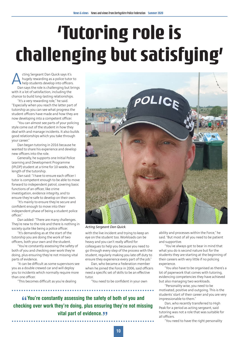# **'Tutoring role is challenging but satisfying'**

Acting Sergeant Dan Quick says it's<br>hugely rewarding as a police tutor<br>help students develop into officers<br>Dan says the role is challenging but b hugely rewarding as a police tutor to help students develop into officers. Dan says the role is challenging but brings with it a lot of satisfaction, including the chance to build long-lasting relationships.

"It's a very rewarding role," he said. "Especially when you reach the latter part of tutorship as you can see what progress the student officers have made and how they are now developing into a competent officer.

"You can almost see parts of your policing style come out of the student in how they deal with and manage incidents. It also builds good relationships which you take through your career."

Dan began tutoring in 2016 because he wanted to share his experience and develop new officers into the role.

Generally, he supports one Initial Police Learning and Development Programme (IPLDP) student at a time for 10 weeks, the length of the tutorship.

Dan said: "I have to ensure each officer I tutor is competent enough to be able to move forward to independent patrol, covering basic functions of an officer, like crime investigation, evidence integrity, and to ensure they're safe to develop on their own.

"It's mainly to ensure they're secure and confident enough to move into their independent phase of being a student police officer."

Dan added: "There are many challenges. They're new to the role and there is nothing in society quite like being a police officer.

"It's demanding as at the start of the tutorship you are doing the work of two officers, both your own and the student.

"You're constantly assessing the safety of both of you and checking over work they're doing, plus ensuring they're not missing vital parts of evidence.

"It can be difficult as some supervisors see you as a double crewed car and will deploy you to incidents which normally require more than one officer.

"This becomes difficult as you're dealing



*Acting Sergeant Dan Quick.*

with the live incident and trying to keep an eye on the student too. Workloads can be heavy and you can't really afford for colleagues to help you because you need to go through every step of the process with the student, regularly making you late off duty to ensure they experience every part of the job."

Dan, who became a Federation member when he joined the Force in 2006, said officers need a specific set of skills to be an effective tutor.

"You need to be confident in your own

ability and processes within the Force," he said. "But most of all you need to be patient and supportive.

"You've always got to bear in mind that what you do is second nature but for the students they are starting at the beginning of their careers with very little if no policing experience.

"You also have to be organised as there's a lot of paperwork that comes with tutoring, evidencing competencies they have achieved but also managing two workloads.

"Personality wise, you need to be motivated, positive and outgoing. This is the students' start of their career and you are very impressionable to them."

Dan, who recently transferred to High Peak for a period as acting sergeant, said tutoring was not a role that was suitable for all officers.

"You need to have the right personality

**change of Sou and Checking over work they're doing, plus ensuring they're not missing checking over work they're doing, plus ensuring they're not missing You're constantly assessing the safety of both of you and vital part of evidence.**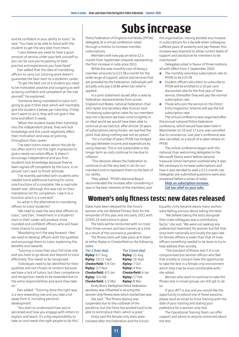### **Subs increase**

and be confident in your ability to tutor," he said. "You have to be able to bond with the student to get the very best from them.

"I also believe you need to have a good amount of service under your belt yourself so you can be sure you're passing on best practice and experiences you have faced."

Dan added that the idea of mandating officers to carry out tutoring work doesn't guarantee the best start to a students' career.

"To get the best out of a student you need to be motivated, positive and outgoing as well as being confident and competent at the role yourself," he explained.

"Someone being mandated to tutor isn't going to give it their best which will inevitably give the student a below par tutorship. If they don't want to do it, they will not give it the time and effort it needs.

"When the student leaves their tutorship into the independent phase, they will lack knowledge and this could negatively affect their motivation and view on policing throughout their career.

"I've seen tutors moan about the job far too often and it's not the right impression to give a newly recruited officer. It doesn't encourage independence and you find students lack knowledge because they've been signed off competent by the tutor, in an almost 'can't wait to finish' attitude.

"I've recently patrolled with students who needed some additional training for some core functions of a constable, like a road-side breath test. Although this was not on their mandatory list for completion, I see it as a function which is a core skill."

So, what is the alternative to mandating officers to tutor students?

"We need to seek the very best officers to tutor," said Dan. "Investment in a student's start in their career will produce more rounded and confident officers who will have more chance to succeed.

"Mandating isn't the way forward. I feel we need to develop officers with the qualities and encourage them to tutor, explaining the benefits and rewards.

"Tutoring is more than your full-time role and you have to go above and beyond to tutor effectively. This needs to be recognised.

"Individuals need to be identified for their qualities and not chosen at random because we have a lack of tutors, but their competence and recognition needs to be rewarded due to the extra responsibilities and work they take  $n^{\prime}$ 

Dan added: "Tutoring done the right way is a very rewarding role and you take a lot away from it, including personal development.

"You start to understand how you're perceived and how you engage with others to explain and teach. It's a big responsibility to take on and needs the right people to do this."

Police Federation of England and Wales (PFEW) delegates at a virtual conference voted through a motion to increase member subscriptions.

Members will now pay an extra £2 a month from September onwards representing the first increase in subs since 2011.

While the new monthly cost of being a member amounts to £23.58 a month for the wide range of support, advice and services that are provided by the Federation, individuals will actually only pay £18.86 when tax relief is applied.

In a joint statement issued after a vote by Federation representatives from across England and Wales, national Federation chair John Apter and secretary Alex Duncan said: "Increasing subscription rates for our members was not a decision we have come to lightly. In an ideal world we would have been able to continue as we had but, after almost 10 years of subscriptions being frozen, we reached the point that doing nothing was not an option."

"For a number of years, PFEW has bridged the gap between income and expenditure by using reserves. This is not sustainable in the longer term as costs continue to rise due to inflation.

"This decision allows the Federation to continue to do the very best it can for our members and to represent them to the best of our ability.

They added: "PFEW's National Board recommended the increase after considering it was in the best interests of the members, and

the organisation. Having avoided any increase in subscriptions for a decade when colleagues suffered years of austerity and pay freezes, this increase was essential to allow current levels of support and assistance for members to be maintained."

Delegates voted in favour of three motions, all with effect from 1 September 2020:

- The monthly voluntary subscription rate to PFEW to be £23.58
- l Student officers who elect to subscribe to PFEW will be entitled to a 50 per cent discounted rate for the first year of their service, thereafter they will pay the normal subscription rate
- Those who join the service on the Direct Entry Inspectors' Scheme will pay the full subscription rate.

The virtual conference was organised after the annual national Police Federation conference, which would have been held in Manchester on 16 and 17 June, was cancelled due to coronavirus. Last year's conference was also cancelled, as a result of a cyber-attack on PFEW.

The online conference began with the national chair welcoming delegates to the Microsoft Teams event before national treasurer Simon Kempton outlined why it was felt necessary to increase subscriptions and how it was decided to seek a £2 a month rise. Delegates' pre-submitted questions were also answered before a series of votes.

**FAQs on subscription increase. Get tax relief on your subs.**

### **Women's only fitness tests: new dates released**

Dates have been released for the Force's women only Job-Related Fitness Tests for the remainder of this year and into early 2021 with COVID-19 restrictions in place.

The tests will be conducted with no more than three runners and two trainers at a time as a result of the coronavirus pandemic.

The fitness tests will take place at 8.30am at either Ripley or Chesterfield on the following dates:

#### **Tier 1 (two-day) Tier 2 (one-day)**

**Ripley:** 6/7 Aug **Ripley:** 21 Aug **Ripley:** 10/11 Sept **Ripley:** 16 Sept **Chesterfield:** 5/6 Oct **Ripley:** 7 Oct **Ripley:** 2/3 Nov **Ripley:** 4 Nov **Chesterfield:** 4/5 Jan **Chesterfield:** 6 Jan **Ripley:** 3/4 Feb **Ripley:** 17 Feb **Chesterfield:** 1/2 Mar **Ripley:** 8 Mar.

Kirsty Bunn, Derbyshire Police Federation secretary, was influential in securing the women-only fitness tests which started last year.

She said: "The fitness testing was suspended due to the outbreak of the pandemic but the Force has worked hard to be able to reintroduce them, which is great."

Kirsty said the female-only tests were initiated after the Federation and the Force's Equality Unity became aware many women were feeling anxious about taking the tests.

"We believe taking the tests alongside their male colleagues was a contributory factor," she said. "We were not seeking any preferential treatment for women but felt that since both nationally and locally the pass rate for female officers is lower than that of male officers something needed to be done to try to help address their anxiety.

"The standard of fitness test 5:4 is not compromised but women officers who feel that anxiety or concern have the opportunity to take the test in a female only environment which they may be more comfortable with," she added.

Women who want to continue to take the fitness test in mixed groups can still opt to do so.

If your JRFT is due and you would like the opportunity to attend one of these sessions, please send an email to Force Training with the date of your training and stating your preference for a women-only test.

The Operational Training Team can offer support and advice to anyone concerned about the test.